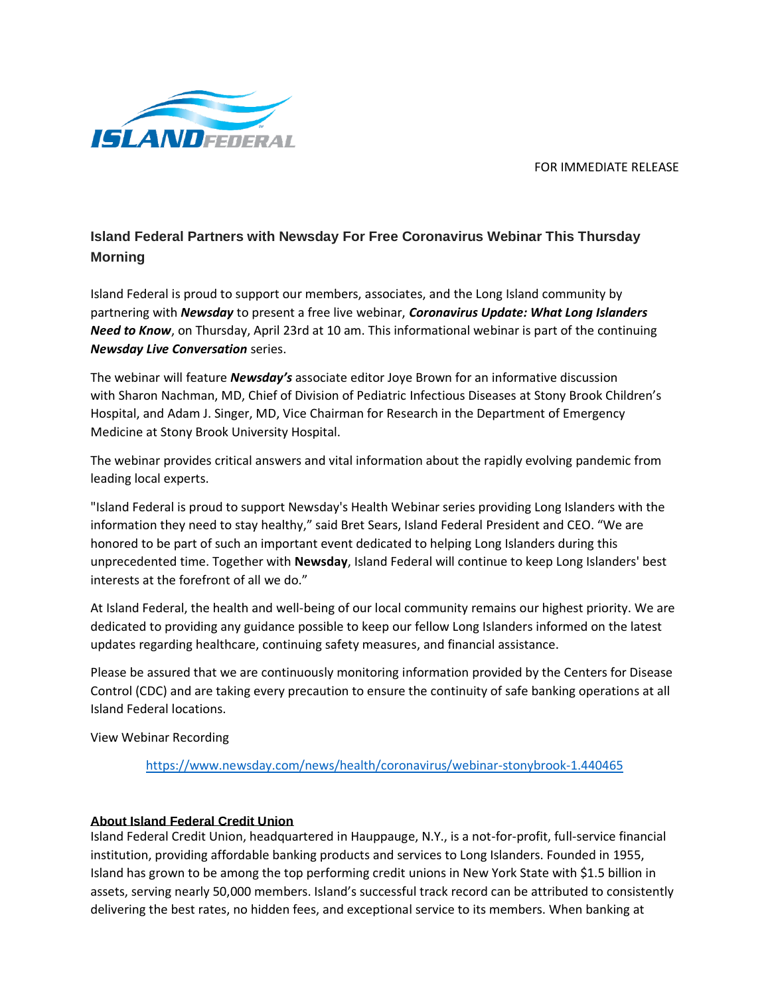FOR IMMEDIATE RELEASE



## **Island Federal Partners with Newsday For Free Coronavirus Webinar This Thursday Morning**

Island Federal is proud to support our members, associates, and the Long Island community by partnering with *Newsday* to present a free live webinar, *Coronavirus Update: What Long Islanders Need to Know*, on Thursday, April 23rd at 10 am. This informational webinar is part of the continuing *Newsday Live Conversation* series.

The webinar will feature *Newsday's* associate editor Joye Brown for an informative discussion with Sharon Nachman, MD, Chief of Division of Pediatric Infectious Diseases at Stony Brook Children's Hospital, and Adam J. Singer, MD, Vice Chairman for Research in the Department of Emergency Medicine at Stony Brook University Hospital.

The webinar provides critical answers and vital information about the rapidly evolving pandemic from leading local experts.

"Island Federal is proud to support Newsday's Health Webinar series providing Long Islanders with the information they need to stay healthy," said Bret Sears, Island Federal President and CEO. "We are honored to be part of such an important event dedicated to helping Long Islanders during this unprecedented time. Together with **Newsday**, Island Federal will continue to keep Long Islanders' best interests at the forefront of all we do."

At Island Federal, the health and well-being of our local community remains our highest priority. We are dedicated to providing any guidance possible to keep our fellow Long Islanders informed on the latest updates regarding healthcare, continuing safety measures, and financial assistance.

Please be assured that we are continuously monitoring information provided by the Centers for Disease Control (CDC) and are taking every precaution to ensure the continuity of safe banking operations at all Island Federal locations.

View Webinar Recording

<https://www.newsday.com/news/health/coronavirus/webinar-stonybrook-1.440465>

## **About Island Federal Credit Union**

Island Federal Credit Union, headquartered in Hauppauge, N.Y., is a not-for-profit, full-service financial institution, providing affordable banking products and services to Long Islanders. Founded in 1955, Island has grown to be among the top performing credit unions in New York State with \$1.5 billion in assets, serving nearly 50,000 members. Island's successful track record can be attributed to consistently delivering the best rates, no hidden fees, and exceptional service to its members. When banking at